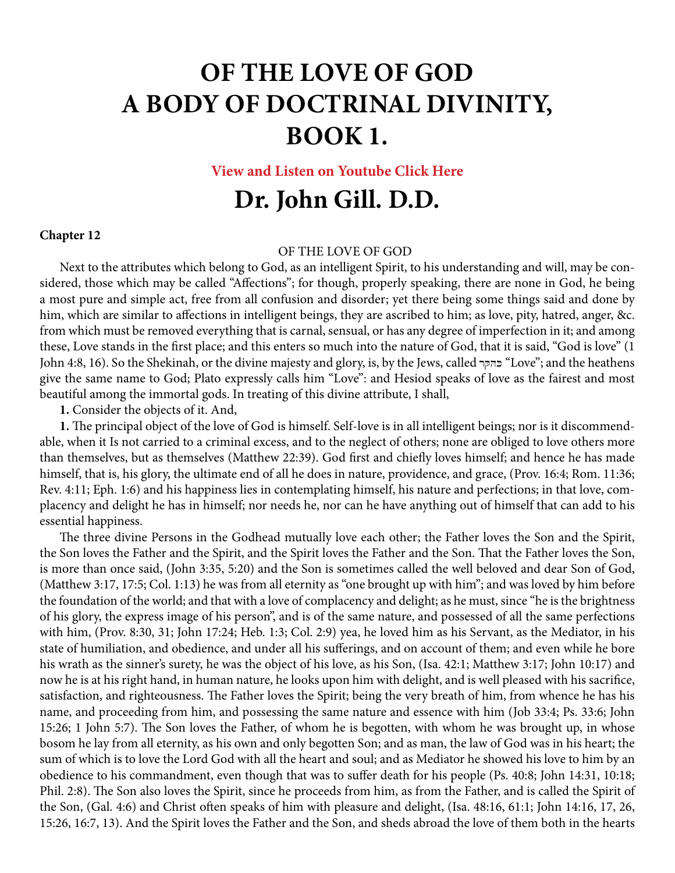## **OF THE LOVE OF GOD A BODY OF DOCTRINAL DIVINITY, BOOK 1.**

**[View and Listen on Youtube Click Here](https://youtu.be/MIszRsEnPrY)**

## **Dr. John Gill. D.D.**

## **Chapter 12**

## OF THE LOVE OF GOD

Next to the attributes which belong to God, as an intelligent Spirit, to his understanding and will, may be considered, those which may be called "Affections"; for though, properly speaking, there are none in God, he being a most pure and simple act, free from all confusion and disorder; yet there being some things said and done by him, which are similar to affections in intelligent beings, they are ascribed to him; as love, pity, hatred, anger, &c. from which must be removed everything that is carnal, sensual, or has any degree of imperfection in it; and among these, Love stands in the first place; and this enters so much into the nature of God, that it is said, "God is love" (1 John 4:8, 16). So the Shekinah, or the divine majesty and glory, is, by the Jews, called בהקר "Love"; and the heathens give the same name to God; Plato expressly calls him "Love": and Hesiod speaks of love as the fairest and most beautiful among the immortal gods. In treating of this divine attribute, I shall,

**1.** Consider the objects of it. And,

**1.** The principal object of the love of God is himself. Self-love is in all intelligent beings; nor is it discommendable, when it Is not carried to a criminal excess, and to the neglect of others; none are obliged to love others more than themselves, but as themselves (Matthew 22:39). God first and chiefly loves himself; and hence he has made himself, that is, his glory, the ultimate end of all he does in nature, providence, and grace, (Prov. 16:4; Rom. 11:36; Rev. 4:11; Eph. 1:6) and his happiness lies in contemplating himself, his nature and perfections; in that love, complacency and delight he has in himself; nor needs he, nor can he have anything out of himself that can add to his essential happiness.

The three divine Persons in the Godhead mutually love each other; the Father loves the Son and the Spirit, the Son loves the Father and the Spirit, and the Spirit loves the Father and the Son. That the Father loves the Son, is more than once said, (John 3:35, 5:20) and the Son is sometimes called the well beloved and dear Son of God, (Matthew 3:17, 17:5; Col. 1:13) he was from all eternity as "one brought up with him"; and was loved by him before the foundation of the world; and that with a love of complacency and delight; as he must, since "he is the brightness of his glory, the express image of his person", and is of the same nature, and possessed of all the same perfections with him, (Prov. 8:30, 31; John 17:24; Heb. 1:3; Col. 2:9) yea, he loved him as his Servant, as the Mediator, in his state of humiliation, and obedience, and under all his sufferings, and on account of them; and even while he bore his wrath as the sinner's surety, he was the object of his love, as his Son, (Isa. 42:1; Matthew 3:17; John 10:17) and now he is at his right hand, in human nature, he looks upon him with delight, and is well pleased with his sacrifice, satisfaction, and righteousness. The Father loves the Spirit; being the very breath of him, from whence he has his name, and proceeding from him, and possessing the same nature and essence with him (Job 33:4; Ps. 33:6; John 15:26; 1 John 5:7). The Son loves the Father, of whom he is begotten, with whom he was brought up, in whose bosom he lay from all eternity, as his own and only begotten Son; and as man, the law of God was in his heart; the sum of which is to love the Lord God with all the heart and soul; and as Mediator he showed his love to him by an obedience to his commandment, even though that was to suffer death for his people (Ps. 40:8; John 14:31, 10:18; Phil. 2:8). The Son also loves the Spirit, since he proceeds from him, as from the Father, and is called the Spirit of the Son, (Gal. 4:6) and Christ often speaks of him with pleasure and delight, (Isa. 48:16, 61:1; John 14:16, 17, 26, 15:26, 16:7, 13). And the Spirit loves the Father and the Son, and sheds abroad the love of them both in the hearts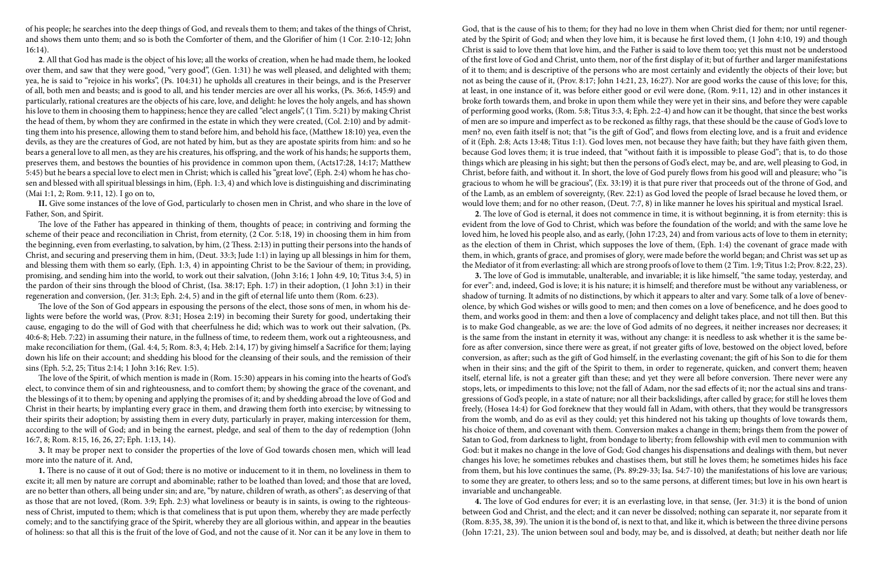of his people; he searches into the deep things of God, and reveals them to them; and takes of the things of Christ, and shows them unto them; and so is both the Comforter of them, and the Glorifier of him (1 Cor. 2:10-12; John 16:14).

**2**. All that God has made is the object of his love; all the works of creation, when he had made them, he looked over them, and saw that they were good, "very good", (Gen. 1:31) he was well pleased, and delighted with them; yea, he is said to "rejoice in his works", (Ps. 104:31) he upholds all creatures in their beings, and is the Preserver of all, both men and beasts; and is good to all, and his tender mercies are over all his works, (Ps. 36:6, 145:9) and particularly, rational creatures are the objects of his care, love, and delight: he loves the holy angels, and has shown his love to them in choosing them to happiness; hence they are called "elect angels", (1 Tim. 5:21) by making Christ the head of them, by whom they are confirmed in the estate in which they were created, (Col. 2:10) and by admitting them into his presence, allowing them to stand before him, and behold his face, (Matthew 18:10) yea, even the devils, as they are the creatures of God, are not hated by him, but as they are apostate spirits from him: and so he bears a general love to all men, as they are his creatures, his offspring, and the work of his hands; he supports them, preserves them, and bestows the bounties of his providence in common upon them, (Acts17:28, 14:17; Matthew 5:45) but he bears a special love to elect men in Christ; which is called his "great love", (Eph. 2:4) whom he has chosen and blessed with all spiritual blessings in him, (Eph. 1:3, 4) and which love is distinguishing and discriminating (Mai 1:1, 2; Rom. 9:11, 12). I go on to,

**II.** Give some instances of the love of God, particularly to chosen men in Christ, and who share in the love of Father, Son, and Spirit.

The love of the Father has appeared in thinking of them, thoughts of peace; in contriving and forming the scheme of their peace and reconciliation in Christ, from eternity, (2 Cor. 5:18, 19) in choosing them in him from the beginning, even from everlasting, to salvation, by him, (2 Thess. 2:13) in putting their persons into the hands of Christ, and securing and preserving them in him, (Deut. 33:3; Jude 1:1) in laying up all blessings in him for them, and blessing them with them so early, (Eph. 1:3, 4) in appointing Christ to be the Saviour of them; in providing, promising, and sending him into the world, to work out their salvation, (John 3:16; 1 John 4:9, 10; Titus 3:4, 5) in the pardon of their sins through the blood of Christ, (Isa. 38:17; Eph. 1:7) in their adoption, (1 John 3:1) in their regeneration and conversion, (Jer. 31:3; Eph. 2:4, 5) and in the gift of eternal life unto them (Rom. 6:23).

The love of the Son of God appears in espousing the persons of the elect, those sons of men, in whom his delights were before the world was, (Prov. 8:31; Hosea 2:19) in becoming their Surety for good, undertaking their cause, engaging to do the will of God with that cheerfulness he did; which was to work out their salvation, (Ps. 40:6-8; Heb. 7:22) in assuming their nature, in the fullness of time, to redeem them, work out a righteousness, and make reconciliation for them, (Gal. 4:4, 5; Rom. 8:3, 4; Heb. 2:14, 17) by giving himself a Sacrifice for them; laying down his life on their account; and shedding his blood for the cleansing of their souls, and the remission of their sins (Eph. 5:2, 25; Titus 2:14; 1 John 3:16; Rev. 1:5).

The love of the Spirit, of which mention is made in (Rom. 15:30) appears in his coming into the hearts of God's elect, to convince them of sin and righteousness, and to comfort them; by showing the grace of the covenant, and the blessings of it to them; by opening and applying the promises of it; and by shedding abroad the love of God and Christ in their hearts; by implanting every grace in them, and drawing them forth into exercise; by witnessing to their spirits their adoption; by assisting them in every duty, particularly in prayer, making intercession for them, according to the will of God; and in being the earnest, pledge, and seal of them to the day of redemption (John 16:7, 8; Rom. 8:15, 16, 26, 27; Eph. 1:13, 14).

**3.** It may be proper next to consider the properties of the love of God towards chosen men, which will lead more into the nature of it. And,

**1.** There is no cause of it out of God; there is no motive or inducement to it in them, no loveliness in them to excite it; all men by nature are corrupt and abominable; rather to be loathed than loved; and those that are loved, are no better than others, all being under sin; and are, "by nature, children of wrath, as others"; as deserving of that as those that are not loved, (Rom. 3:9; Eph. 2:3) what loveliness or beauty is in saints, is owing to the righteousness of Christ, imputed to them; which is that comeliness that is put upon them, whereby they are made perfectly comely; and to the sanctifying grace of the Spirit, whereby they are all glorious within, and appear in the beauties of holiness: so that all this is the fruit of the love of God, and not the cause of it. Nor can it be any love in them to

God, that is the cause of his to them; for they had no love in them when Christ died for them; nor until regenerated by the Spirit of God; and when they love him, it is because he first loved them, (1 John 4:10, 19) and though Christ is said to love them that love him, and the Father is said to love them too; yet this must not be understood of the first love of God and Christ, unto them, nor of the first display of it; but of further and larger manifestations of it to them; and is descriptive of the persons who are most certainly and evidently the objects of their love; but not as being the cause of it, (Prov. 8:17; John 14:21, 23, 16:27). Nor are good works the cause of this love; for this, at least, in one instance of it, was before either good or evil were done, (Rom. 9:11, 12) and in other instances it broke forth towards them, and broke in upon them while they were yet in their sins, and before they were capable of performing good works, (Rom. 5:8; Titus 3:3, 4; Eph. 2:2-4) and how can it be thought, that since the best works of men are so impure and imperfect as to be reckoned as filthy rags, that these should be the cause of God's love to men? no, even faith itself is not; that "is the gift of God", and flows from electing love, and is a fruit and evidence of it (Eph. 2:8; Acts 13:48; Titus 1:1). God loves men, not because they have faith; but they have faith given them, because God loves them; it is true indeed, that "without faith it is impossible to please God"; that is, to do those things which are pleasing in his sight; but then the persons of God's elect, may be, and are, well pleasing to God, in Christ, before faith, and without it. In short, the love of God purely flows from his good will and pleasure; who "is gracious to whom he will be gracious", (Ex. 33:19) it is that pure river that proceeds out of the throne of God, and of the Lamb, as an emblem of sovereignty, (Rev. 22:1) as God loved the people of Israel because he loved them, or would love them; and for no other reason, (Deut. 7:7, 8) in like manner he loves his spiritual and mystical Israel.

**2**. The love of God is eternal, it does not commence in time, it is without beginning, it is from eternity: this is evident from the love of God to Christ, which was before the foundation of the world; and with the same love he loved him, he loved his people also, and as early, (John 17:23, 24) and from various acts of love to them in eternity; as the election of them in Christ, which supposes the love of them, (Eph. 1:4) the covenant of grace made with them, in which, grants of grace, and promises of glory, were made before the world began; and Christ was set up as the Mediator of it from everlasting: all which are strong proofs of love to them (2 Tim. 1:9; Titus 1:2; Prov. 8:22, 23). **3.** The love of God is immutable, unalterable, and invariable; it is like himself, "the same today, yesterday, and for ever": and, indeed, God is love; it is his nature; it is himself; and therefore must be without any variableness, or shadow of turning. It admits of no distinctions, by which it appears to alter and vary. Some talk of a love of benevolence, by which God wishes or wills good to men; and then comes on a love of beneficence, and he does good to them, and works good in them: and then a love of complacency and delight takes place, and not till then. But this is to make God changeable, as we are: the love of God admits of no degrees, it neither increases nor decreases; it is the same from the instant in eternity it was, without any change: it is needless to ask whether it is the same before as after conversion, since there were as great, if not greater gifts of love, bestowed on the object loved, before conversion, as after; such as the gift of God himself, in the everlasting covenant; the gift of his Son to die for them when in their sins; and the gift of the Spirit to them, in order to regenerate, quicken, and convert them; heaven itself, eternal life, is not a greater gift than these; and yet they were all before conversion. There never were any stops, lets, or impediments to this love; not the fall of Adam, nor the sad effects of it; nor the actual sins and transgressions of God's people, in a state of nature; nor all their backslidings, after called by grace; for still he loves them freely, (Hosea 14:4) for God foreknew that they would fall in Adam, with others, that they would be transgressors from the womb, and do as evil as they could; yet this hindered not his taking up thoughts of love towards them, his choice of them, and covenant with them. Conversion makes a change in them; brings them from the power of Satan to God, from darkness to light, from bondage to liberty; from fellowship with evil men to communion with God: but it makes no change in the love of God; God changes his dispensations and dealings with them, but never changes his love; he sometimes rebukes and chastises them, but still he loves them; he sometimes hides his face from them, but his love continues the same, (Ps. 89:29-33; Isa. 54:7-10) the manifestations of his love are various;

to some they are greater, to others less; and so to the same persons, at different times; but love in his own heart is invariable and unchangeable.

**4.** The love of God endures for ever; it is an everlasting love, in that sense, (Jer. 31:3) it is the bond of union between God and Christ, and the elect; and it can never be dissolved; nothing can separate it, nor separate from it (Rom. 8:35, 38, 39). The union it is the bond of, is next to that, and like it, which is between the three divine persons (John 17:21, 23). The union between soul and body, may be, and is dissolved, at death; but neither death nor life